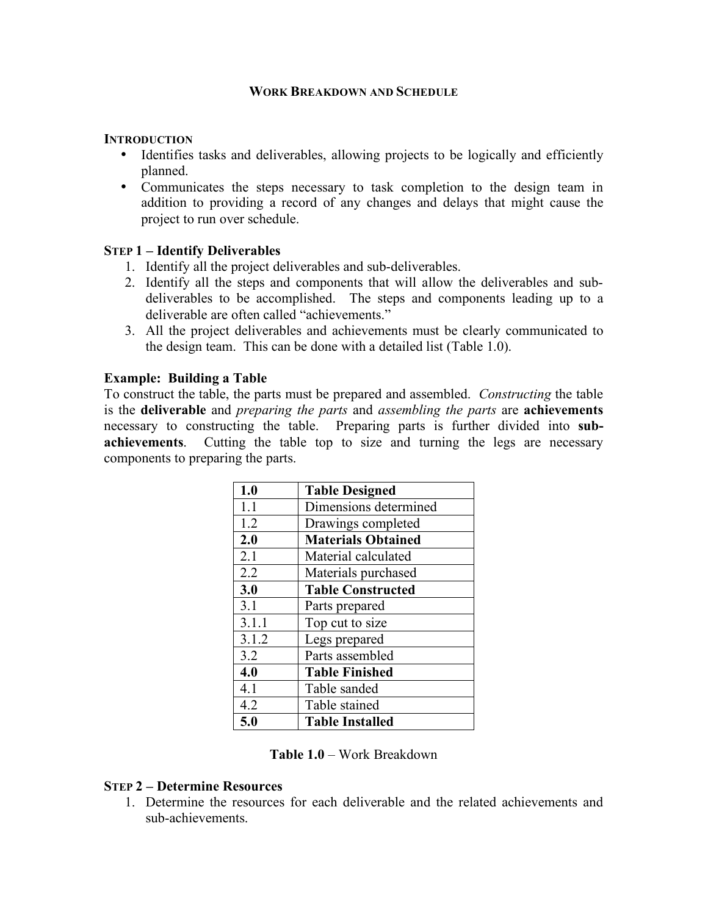#### **WORK BREAKDOWN AND SCHEDULE**

#### **INTRODUCTION**

- Identifies tasks and deliverables, allowing projects to be logically and efficiently planned.
- Communicates the steps necessary to task completion to the design team in addition to providing a record of any changes and delays that might cause the project to run over schedule.

## **STEP 1 – Identify Deliverables**

- 1. Identify all the project deliverables and sub-deliverables.
- 2. Identify all the steps and components that will allow the deliverables and subdeliverables to be accomplished. The steps and components leading up to a deliverable are often called "achievements."
- 3. All the project deliverables and achievements must be clearly communicated to the design team. This can be done with a detailed list (Table 1.0).

## **Example: Building a Table**

To construct the table, the parts must be prepared and assembled. *Constructing* the table is the **deliverable** and *preparing the parts* and *assembling the parts* are **achievements** necessary to constructing the table. Preparing parts is further divided into **subachievements**. Cutting the table top to size and turning the legs are necessary components to preparing the parts.

| 1.0   | <b>Table Designed</b>     |
|-------|---------------------------|
| 1.1   | Dimensions determined     |
| 1.2   | Drawings completed        |
| 2.0   | <b>Materials Obtained</b> |
| 2.1   | Material calculated       |
| 2.2   | Materials purchased       |
| 3.0   | <b>Table Constructed</b>  |
| 3.1   | Parts prepared            |
| 3.1.1 | Top cut to size           |
| 3.1.2 | Legs prepared             |
| 3.2   | Parts assembled           |
| 4.0   | <b>Table Finished</b>     |
| 4.1   | Table sanded              |
| 4.2   | Table stained             |
| 5.0   | <b>Table Installed</b>    |

**Table 1.0** – Work Breakdown

## **STEP 2 – Determine Resources**

1. Determine the resources for each deliverable and the related achievements and sub-achievements.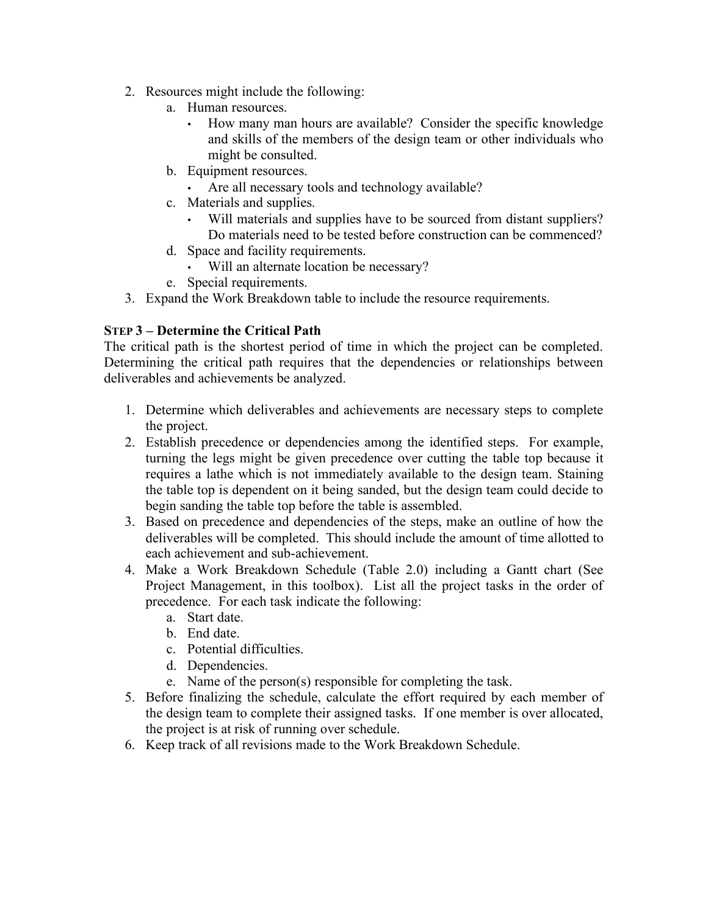- 2. Resources might include the following:
	- a. Human resources.
		- How many man hours are available? Consider the specific knowledge and skills of the members of the design team or other individuals who might be consulted.
	- b. Equipment resources.
		- Are all necessary tools and technology available?
	- c. Materials and supplies.
		- Will materials and supplies have to be sourced from distant suppliers? Do materials need to be tested before construction can be commenced?
	- d. Space and facility requirements.
		- Will an alternate location be necessary?
	- e. Special requirements.
- 3. Expand the Work Breakdown table to include the resource requirements.

# **STEP 3 – Determine the Critical Path**

The critical path is the shortest period of time in which the project can be completed. Determining the critical path requires that the dependencies or relationships between deliverables and achievements be analyzed.

- 1. Determine which deliverables and achievements are necessary steps to complete the project.
- 2. Establish precedence or dependencies among the identified steps. For example, turning the legs might be given precedence over cutting the table top because it requires a lathe which is not immediately available to the design team. Staining the table top is dependent on it being sanded, but the design team could decide to begin sanding the table top before the table is assembled.
- 3. Based on precedence and dependencies of the steps, make an outline of how the deliverables will be completed. This should include the amount of time allotted to each achievement and sub-achievement.
- 4. Make a Work Breakdown Schedule (Table 2.0) including a Gantt chart (See Project Management, in this toolbox). List all the project tasks in the order of precedence. For each task indicate the following:
	- a. Start date.
	- b. End date.
	- c. Potential difficulties.
	- d. Dependencies.
	- e. Name of the person(s) responsible for completing the task.
- 5. Before finalizing the schedule, calculate the effort required by each member of the design team to complete their assigned tasks. If one member is over allocated, the project is at risk of running over schedule.
- 6. Keep track of all revisions made to the Work Breakdown Schedule.